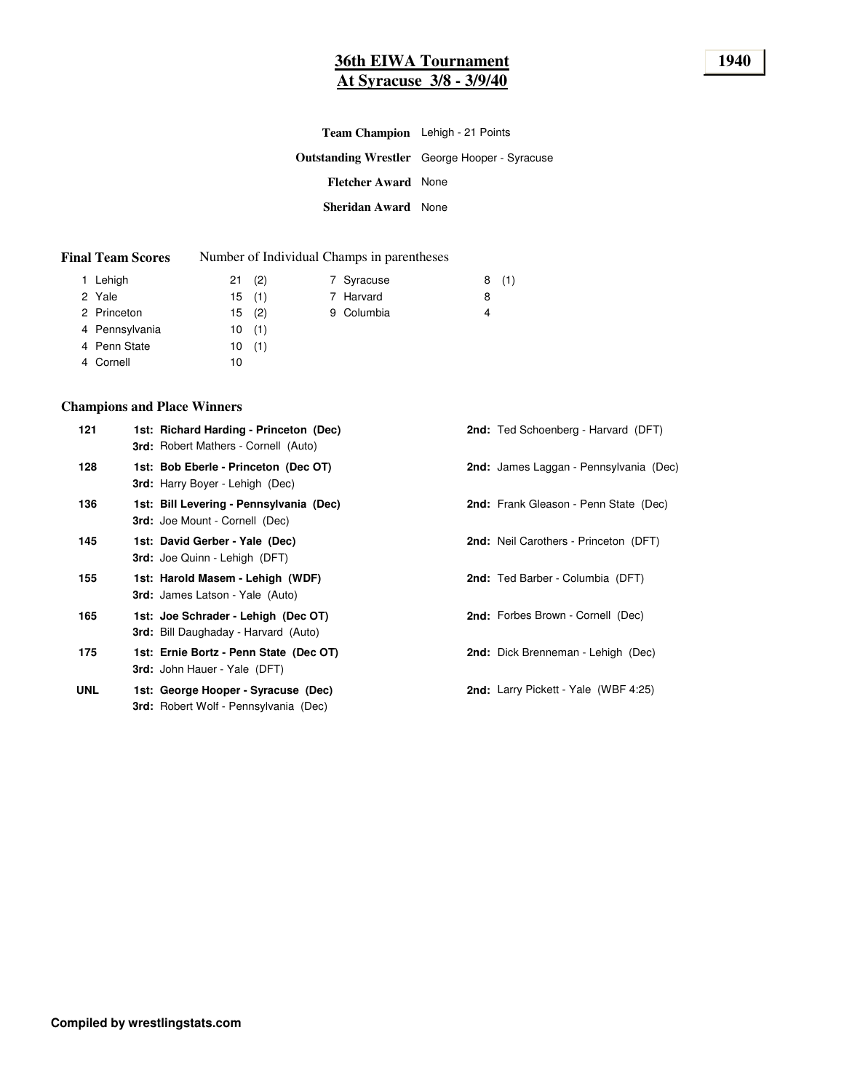### **36th EIWA Tournament 1940 At Syracuse 3/8 - 3/9/40**

|                            | Team Champion Lehigh - 21 Points                     |  |
|----------------------------|------------------------------------------------------|--|
|                            | <b>Outstanding Wrestler</b> George Hooper - Syracuse |  |
| <b>Fletcher Award</b> None |                                                      |  |
| <b>Sheridan Award</b> None |                                                      |  |

#### **Final Team Scores** Number of Individual Champs in parentheses

| $21$ (2) | 7 Syracuse | (1)<br>8 |
|----------|------------|----------|
| 15(1)    | 7 Harvard  | 8        |
| 15(2)    | 9 Columbia | 4        |
| 10(1)    |            |          |
| 10(1)    |            |          |
| 10       |            |          |
|          |            |          |

### **Champions and Place Winners**

| 121 | 1st: Richard Harding - Princeton (Dec)<br><b>3rd:</b> Robert Mathers - Cornell (Auto) | 2nd: Ted Schoenberg - Harvard (DFT)          |
|-----|---------------------------------------------------------------------------------------|----------------------------------------------|
| 128 | 1st: Bob Eberle - Princeton (Dec OT)<br><b>3rd:</b> Harry Boyer - Lehigh (Dec)        | 2nd: James Laggan - Pennsylvania (Dec)       |
| 136 | 1st: Bill Levering - Pennsylvania (Dec)<br><b>3rd:</b> Joe Mount - Cornell (Dec)      | 2nd: Frank Gleason - Penn State (Dec)        |
| 145 | 1st: David Gerber - Yale (Dec)<br><b>3rd:</b> Joe Quinn - Lehigh (DFT)                | <b>2nd:</b> Neil Carothers - Princeton (DFT) |
| 155 | 1st: Harold Masem - Lehigh (WDF)<br><b>3rd:</b> James Latson - Yale (Auto)            | <b>2nd:</b> Ted Barber - Columbia (DFT)      |
| 165 | 1st: Joe Schrader - Lehigh (Dec OT)<br><b>3rd:</b> Bill Daughaday - Harvard (Auto)    | 2nd: Forbes Brown - Cornell (Dec)            |
| 175 | 1st: Ernie Bortz - Penn State (Dec OT)<br><b>3rd:</b> John Hauer - Yale (DFT)         | <b>2nd:</b> Dick Brenneman - Lehigh (Dec)    |
| UNL | 1st: George Hooper - Syracuse (Dec)<br><b>3rd:</b> Robert Wolf - Pennsylvania (Dec)   | 2nd: Larry Pickett - Yale (WBF 4:25)         |
|     |                                                                                       |                                              |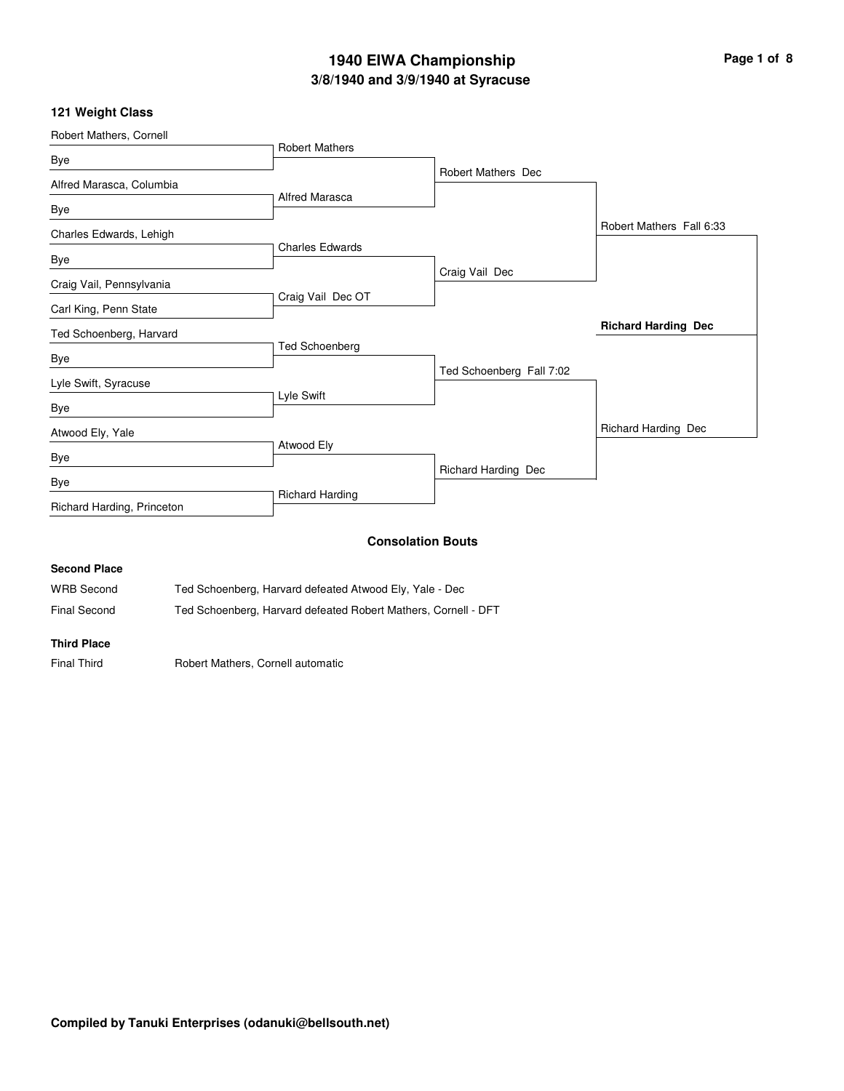### **3/8/1940 and 3/9/1940 at Syracuse 1940 EIWA Championship Page 1 of 8**

#### **121 Weight Class**

| Robert Mathers, Cornell    |                        |                            |                            |
|----------------------------|------------------------|----------------------------|----------------------------|
| Bye                        | <b>Robert Mathers</b>  |                            |                            |
| Alfred Marasca, Columbia   |                        | <b>Robert Mathers Dec</b>  |                            |
| Bye                        | <b>Alfred Marasca</b>  |                            |                            |
|                            |                        |                            | Robert Mathers Fall 6:33   |
| Charles Edwards, Lehigh    | <b>Charles Edwards</b> |                            |                            |
| Bye                        |                        | Craig Vail Dec             |                            |
| Craig Vail, Pennsylvania   | Craig Vail Dec OT      |                            |                            |
| Carl King, Penn State      |                        |                            |                            |
| Ted Schoenberg, Harvard    |                        |                            | <b>Richard Harding Dec</b> |
| Bye                        | <b>Ted Schoenberg</b>  |                            |                            |
| Lyle Swift, Syracuse       |                        | Ted Schoenberg Fall 7:02   |                            |
| Bye                        | Lyle Swift             |                            |                            |
|                            |                        |                            | Richard Harding Dec        |
| Atwood Ely, Yale           | Atwood Ely             |                            |                            |
| Bye                        |                        | <b>Richard Harding Dec</b> |                            |
| Bye                        |                        |                            |                            |
| Richard Harding, Princeton | <b>Richard Harding</b> |                            |                            |
|                            |                        | <b>Consolation Bouts</b>   |                            |
| <b>Second Place</b>        |                        |                            |                            |

WRB Second Ted Schoenberg, Harvard defeated Atwood Ely, Yale - Dec Final Second Ted Schoenberg, Harvard defeated Robert Mathers, Cornell - DFT

#### **Third Place**

Final Third Robert Mathers, Cornell automatic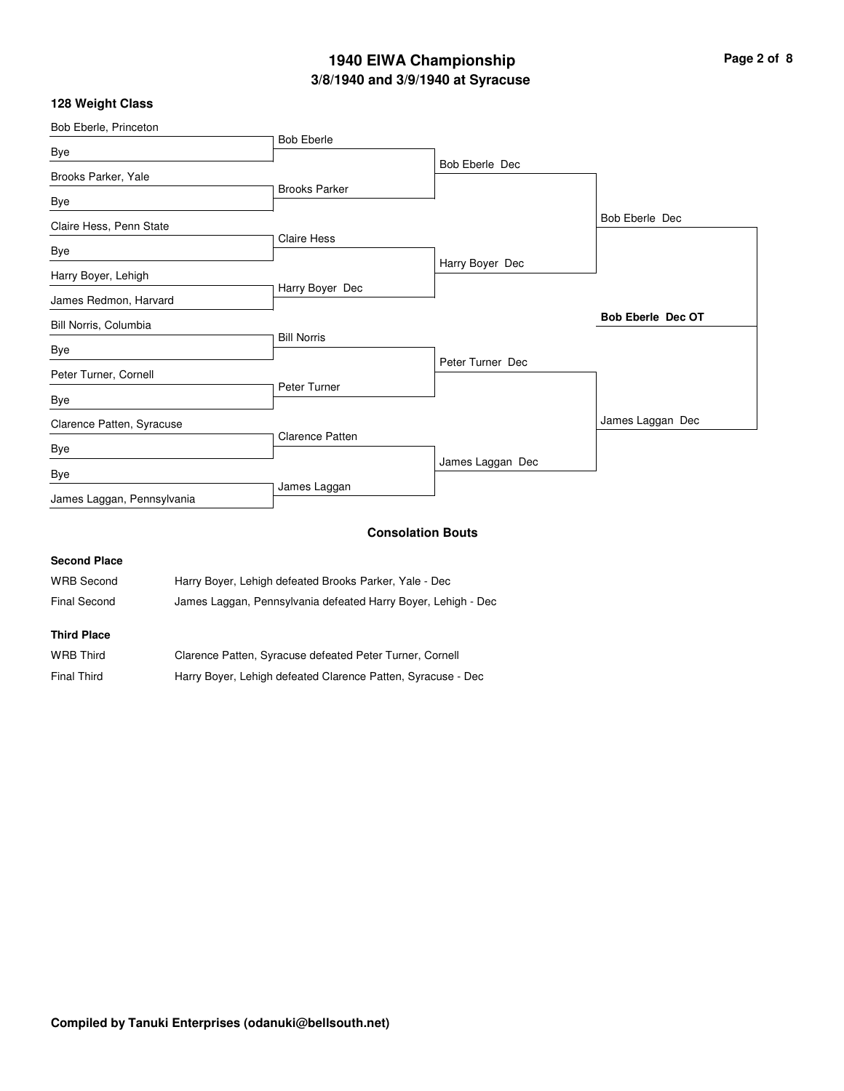### **3/8/1940 and 3/9/1940 at Syracuse 1940 EIWA Championship Page 2 of 8**

#### **128 Weight Class**

| Bob Eberle, Princeton      |                        |                          |                          |
|----------------------------|------------------------|--------------------------|--------------------------|
| Bye                        | <b>Bob Eberle</b>      |                          |                          |
|                            |                        | Bob Eberle Dec           |                          |
| Brooks Parker, Yale        | <b>Brooks Parker</b>   |                          |                          |
| Bye                        |                        |                          |                          |
| Claire Hess, Penn State    |                        |                          | Bob Eberle Dec           |
| Bye                        | <b>Claire Hess</b>     |                          |                          |
|                            |                        | Harry Boyer Dec          |                          |
| Harry Boyer, Lehigh        | Harry Boyer Dec        |                          |                          |
| James Redmon, Harvard      |                        |                          |                          |
| Bill Norris, Columbia      |                        |                          | <b>Bob Eberle Dec OT</b> |
| Bye                        | <b>Bill Norris</b>     |                          |                          |
|                            |                        | Peter Turner Dec         |                          |
| Peter Turner, Cornell      | Peter Turner           |                          |                          |
| Bye                        |                        |                          |                          |
| Clarence Patten, Syracuse  |                        |                          | James Laggan Dec         |
|                            | <b>Clarence Patten</b> |                          |                          |
| Bye                        |                        | James Laggan Dec         |                          |
| Bye                        |                        |                          |                          |
| James Laggan, Pennsylvania | James Laggan           |                          |                          |
|                            |                        |                          |                          |
|                            |                        | <b>Consolation Bouts</b> |                          |

### **Second Place** WRB Second Harry Boyer, Lehigh defeated Brooks Parker, Yale - Dec Final Second James Laggan, Pennsylvania defeated Harry Boyer, Lehigh - Dec **Third Place**

| <b>WRB Third</b> | Clarence Patten, Syracuse defeated Peter Turner, Cornell     |
|------------------|--------------------------------------------------------------|
| Final Third      | Harry Boyer, Lehigh defeated Clarence Patten, Syracuse - Dec |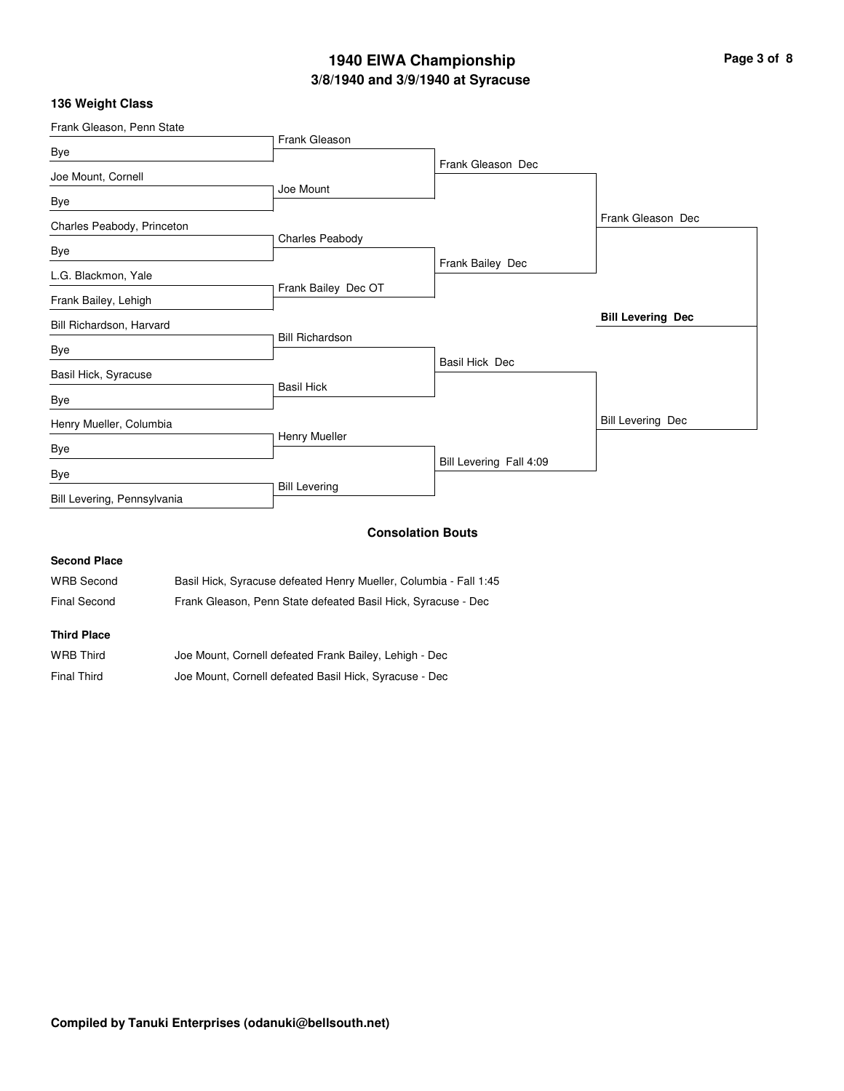### **3/8/1940 and 3/9/1940 at Syracuse 1940 EIWA Championship Page 3 of 8**

### **136 Weight Class**

| Frank Gleason, Penn State   |                        |                          |                          |
|-----------------------------|------------------------|--------------------------|--------------------------|
| Bye                         | Frank Gleason          |                          |                          |
|                             |                        | Frank Gleason Dec        |                          |
| Joe Mount, Cornell          | Joe Mount              |                          |                          |
| Bye                         |                        |                          |                          |
| Charles Peabody, Princeton  |                        |                          | Frank Gleason Dec        |
|                             | Charles Peabody        |                          |                          |
| Bye                         |                        | Frank Bailey Dec         |                          |
| L.G. Blackmon, Yale         |                        |                          |                          |
| Frank Bailey, Lehigh        | Frank Bailey Dec OT    |                          |                          |
| Bill Richardson, Harvard    |                        |                          | <b>Bill Levering Dec</b> |
| Bye                         | <b>Bill Richardson</b> |                          |                          |
|                             |                        | <b>Basil Hick Dec</b>    |                          |
| Basil Hick, Syracuse        | <b>Basil Hick</b>      |                          |                          |
| Bye                         |                        |                          |                          |
| Henry Mueller, Columbia     |                        |                          | <b>Bill Levering Dec</b> |
| Bye                         | Henry Mueller          |                          |                          |
| Bye                         |                        | Bill Levering Fall 4:09  |                          |
| Bill Levering, Pennsylvania | <b>Bill Levering</b>   |                          |                          |
|                             |                        | <b>Ocharletten Deute</b> |                          |

#### **Consolation Bouts**

### **Second Place**

| <b>WRB Second</b> | Basil Hick, Syracuse defeated Henry Mueller, Columbia - Fall 1:45 |
|-------------------|-------------------------------------------------------------------|
| Final Second      | Frank Gleason, Penn State defeated Basil Hick, Syracuse - Dec     |

### **Third Place**

| WRB Third   | Joe Mount, Cornell defeated Frank Bailey, Lehigh - Dec |
|-------------|--------------------------------------------------------|
| Final Third | Joe Mount, Cornell defeated Basil Hick, Syracuse - Dec |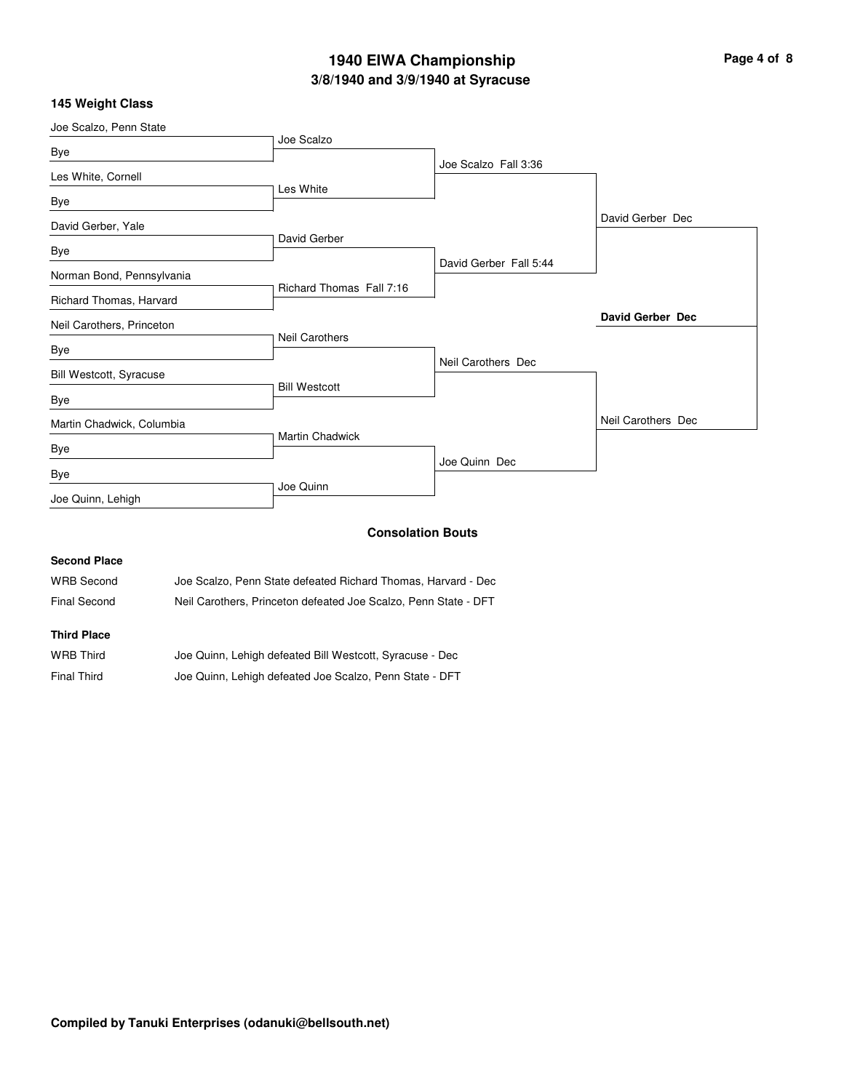### **3/8/1940 and 3/9/1940 at Syracuse 1940 EIWA Championship Page 4 of 8**

#### **145 Weight Class**

| Joe Scalzo, Penn State    |                          |                          |                         |
|---------------------------|--------------------------|--------------------------|-------------------------|
|                           | Joe Scalzo               |                          |                         |
| Bye                       |                          | Joe Scalzo Fall 3:36     |                         |
| Les White, Cornell        |                          |                          |                         |
| Bye                       | Les White                |                          |                         |
| David Gerber, Yale        |                          |                          | David Gerber Dec        |
|                           | David Gerber             |                          |                         |
| Bye                       |                          | David Gerber Fall 5:44   |                         |
| Norman Bond, Pennsylvania |                          |                          |                         |
| Richard Thomas, Harvard   | Richard Thomas Fall 7:16 |                          |                         |
|                           |                          |                          | <b>David Gerber Dec</b> |
| Neil Carothers, Princeton | <b>Neil Carothers</b>    |                          |                         |
| Bye                       |                          |                          |                         |
| Bill Westcott, Syracuse   |                          | Neil Carothers Dec       |                         |
|                           | <b>Bill Westcott</b>     |                          |                         |
| Bye                       |                          |                          |                         |
| Martin Chadwick, Columbia |                          |                          | Neil Carothers Dec      |
| Bye                       | Martin Chadwick          |                          |                         |
|                           |                          | Joe Quinn Dec            |                         |
| Bye                       |                          |                          |                         |
| Joe Quinn, Lehigh         | Joe Quinn                |                          |                         |
|                           |                          | <b>Consolation Routs</b> |                         |

#### **Consolation Bouts**

### **Second Place** WRB Second Joe Scalzo, Penn State defeated Richard Thomas, Harvard - Dec Final Second Neil Carothers, Princeton defeated Joe Scalzo, Penn State - DFT **Third Place** WRB Third Joe Quinn, Lehigh defeated Bill Westcott, Syracuse - Dec

| WRB Third          | Joe Quinn, Lehigh defeated Bill Westcott, Syracuse - Dec |
|--------------------|----------------------------------------------------------|
| <b>Final Third</b> | Joe Quinn, Lehigh defeated Joe Scalzo, Penn State - DFT  |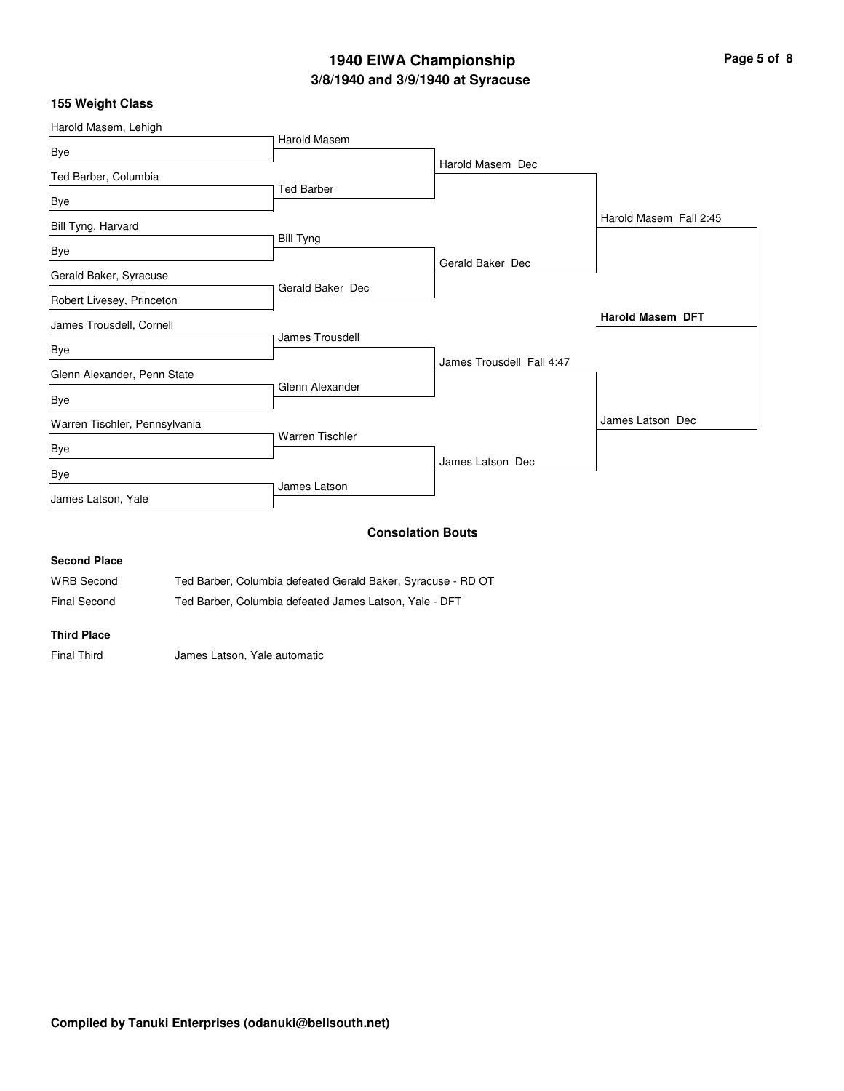### **3/8/1940 and 3/9/1940 at Syracuse 1940 EIWA Championship Page 5 of 8**

### **155 Weight Class**

| Harold Masem, Lehigh          |                        |                           |                         |
|-------------------------------|------------------------|---------------------------|-------------------------|
|                               | Harold Masem           |                           |                         |
| Bye                           |                        | Harold Masem Dec          |                         |
| Ted Barber, Columbia          | <b>Ted Barber</b>      |                           |                         |
| Bye                           |                        |                           |                         |
| Bill Tyng, Harvard            |                        |                           | Harold Masem Fall 2:45  |
| Bye                           | <b>Bill Tyng</b>       |                           |                         |
|                               |                        | Gerald Baker Dec          |                         |
| Gerald Baker, Syracuse        | Gerald Baker Dec       |                           |                         |
| Robert Livesey, Princeton     |                        |                           |                         |
| James Trousdell, Cornell      |                        |                           | <b>Harold Masem DFT</b> |
| Bye                           | James Trousdell        |                           |                         |
|                               |                        | James Trousdell Fall 4:47 |                         |
| Glenn Alexander, Penn State   | Glenn Alexander        |                           |                         |
| Bye                           |                        |                           |                         |
| Warren Tischler, Pennsylvania |                        |                           | James Latson Dec        |
| Bye                           | <b>Warren Tischler</b> |                           |                         |
| Bye                           |                        | James Latson Dec          |                         |
|                               | James Latson           |                           |                         |
| James Latson, Yale            |                        |                           |                         |
|                               |                        | <b>Consolation Bouts</b>  |                         |

### **Second Place**

| <b>WRB Second</b> | Ted Barber, Columbia defeated Gerald Baker, Syracuse - RD OT |
|-------------------|--------------------------------------------------------------|
| Final Second      | Ted Barber, Columbia defeated James Latson, Yale - DFT       |

#### **Third Place**

Final Third James Latson, Yale automatic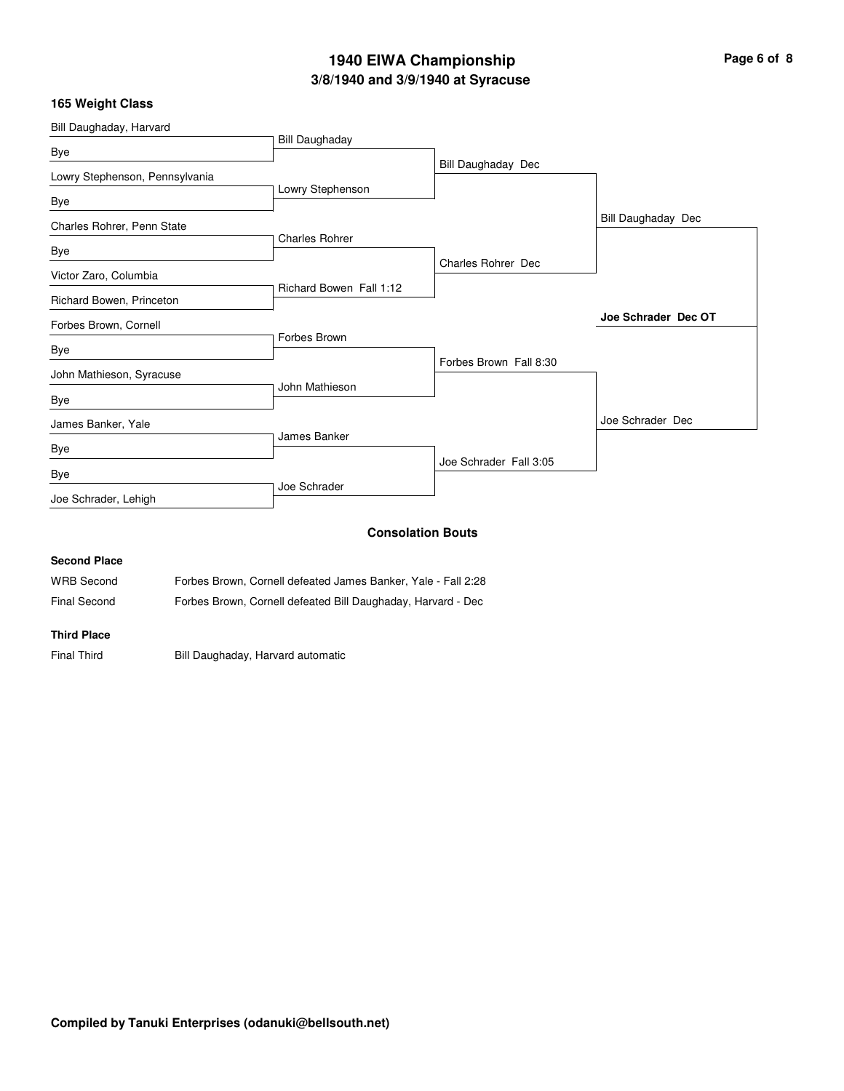### **3/8/1940 and 3/9/1940 at Syracuse 1940 EIWA Championship Page 6 of 8**

#### **165 Weight Class**

|                                |                         | <b>Consolation Bouts</b> |                     |
|--------------------------------|-------------------------|--------------------------|---------------------|
| Joe Schrader, Lehigh           |                         |                          |                     |
| Bye                            | Joe Schrader            |                          |                     |
| Bye                            |                         | Joe Schrader Fall 3:05   |                     |
|                                | James Banker            |                          |                     |
| James Banker, Yale             |                         |                          | Joe Schrader Dec    |
| Bye                            |                         |                          |                     |
| John Mathieson, Syracuse       | John Mathieson          |                          |                     |
| Bye                            |                         | Forbes Brown Fall 8:30   |                     |
| Forbes Brown, Cornell          | Forbes Brown            |                          |                     |
| Richard Bowen, Princeton       |                         |                          | Joe Schrader Dec OT |
| Victor Zaro, Columbia          | Richard Bowen Fall 1:12 |                          |                     |
| Bye                            |                         | Charles Rohrer Dec       |                     |
|                                | <b>Charles Rohrer</b>   |                          |                     |
| Charles Rohrer, Penn State     |                         |                          | Bill Daughaday Dec  |
| Bye                            | Lowry Stephenson        |                          |                     |
| Lowry Stephenson, Pennsylvania |                         |                          |                     |
| Bye                            |                         | Bill Daughaday Dec       |                     |
| Bill Daughaday, Harvard        | <b>Bill Daughaday</b>   |                          |                     |

### **Second Place**

| <b>WRB Second</b>   | Forbes Brown. Cornell defeated James Banker. Yale - Fall 2:28 |
|---------------------|---------------------------------------------------------------|
| <b>Final Second</b> | Forbes Brown, Cornell defeated Bill Daughaday, Harvard - Dec  |

#### **Third Place**

Final Third **Bill Daughaday, Harvard automatic**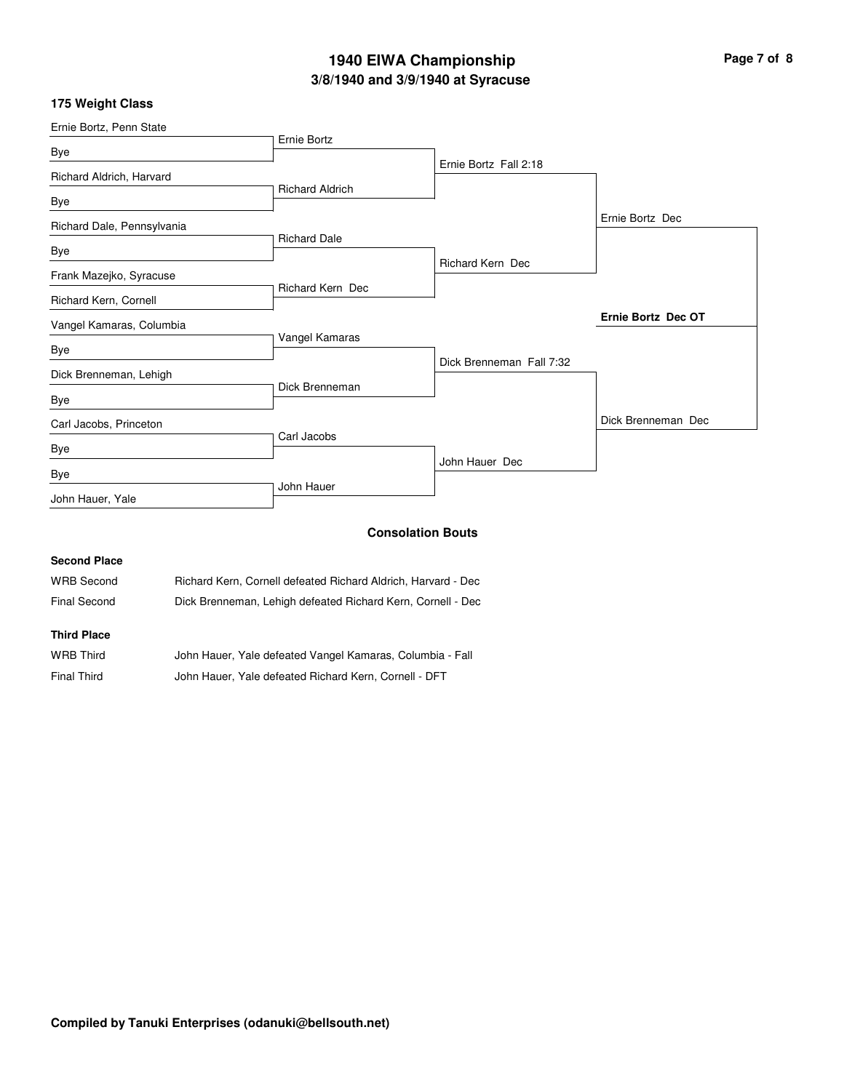### **3/8/1940 and 3/9/1940 at Syracuse 1940 EIWA Championship Page 7 of 8**

#### **175 Weight Class**

| Ernie Bortz, Penn State    |                         |                          |                           |
|----------------------------|-------------------------|--------------------------|---------------------------|
| Bye                        | Ernie Bortz             |                          |                           |
|                            |                         | Ernie Bortz Fall 2:18    |                           |
| Richard Aldrich, Harvard   | <b>Richard Aldrich</b>  |                          |                           |
| Bye                        |                         |                          |                           |
| Richard Dale, Pennsylvania |                         |                          | Ernie Bortz Dec           |
|                            | <b>Richard Dale</b>     |                          |                           |
| Bye                        |                         | <b>Richard Kern Dec</b>  |                           |
| Frank Mazejko, Syracuse    | <b>Richard Kern Dec</b> |                          |                           |
| Richard Kern, Cornell      |                         |                          |                           |
| Vangel Kamaras, Columbia   |                         |                          | <b>Ernie Bortz Dec OT</b> |
| Bye                        | Vangel Kamaras          |                          |                           |
|                            |                         | Dick Brenneman Fall 7:32 |                           |
| Dick Brenneman, Lehigh     | Dick Brenneman          |                          |                           |
| Bye                        |                         |                          |                           |
| Carl Jacobs, Princeton     |                         |                          | Dick Brenneman Dec        |
| Bye                        | Carl Jacobs             |                          |                           |
| Bye                        |                         | John Hauer Dec           |                           |
| John Hauer, Yale           | John Hauer              |                          |                           |
|                            |                         | .                        |                           |

#### **Consolation Bouts**

# **Second Place** WRB Second Richard Kern, Cornell defeated Richard Aldrich, Harvard - Dec Final Second Dick Brenneman, Lehigh defeated Richard Kern, Cornell - Dec **Third Place**

| <b>WRB</b> Third | John Hauer, Yale defeated Vangel Kamaras, Columbia - Fall |
|------------------|-----------------------------------------------------------|
| Final Third      | John Hauer, Yale defeated Richard Kern, Cornell - DFT     |